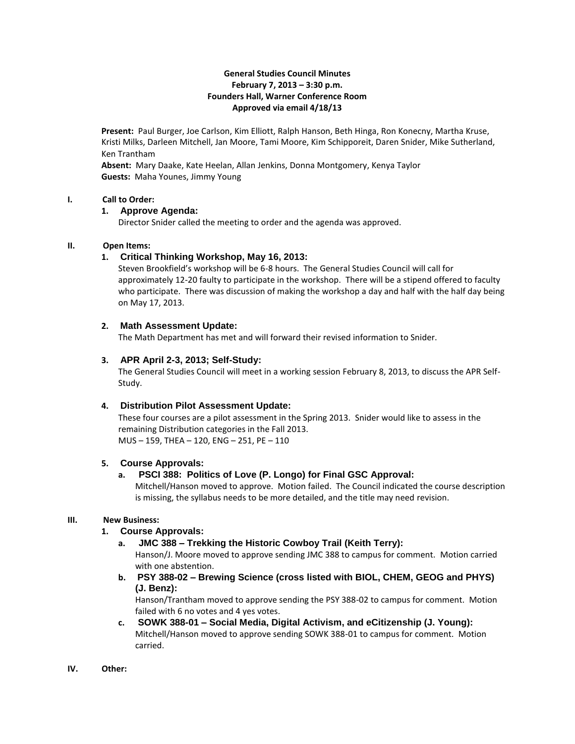## **General Studies Council Minutes February 7, 2013 – 3:30 p.m. Founders Hall, Warner Conference Room Approved via email 4/18/13**

**Present:** Paul Burger, Joe Carlson, Kim Elliott, Ralph Hanson, Beth Hinga, Ron Konecny, Martha Kruse, Kristi Milks, Darleen Mitchell, Jan Moore, Tami Moore, Kim Schipporeit, Daren Snider, Mike Sutherland, Ken Trantham

**Absent:** Mary Daake, Kate Heelan, Allan Jenkins, Donna Montgomery, Kenya Taylor **Guests:** Maha Younes, Jimmy Young

#### **I. Call to Order:**

#### **1. Approve Agenda:**

Director Snider called the meeting to order and the agenda was approved.

## **II. Open Items:**

## **1. Critical Thinking Workshop, May 16, 2013:**

Steven Brookfield's workshop will be 6-8 hours. The General Studies Council will call for approximately 12-20 faulty to participate in the workshop. There will be a stipend offered to faculty who participate. There was discussion of making the workshop a day and half with the half day being on May 17, 2013.

## **2. Math Assessment Update:**

The Math Department has met and will forward their revised information to Snider.

## **3. APR April 2-3, 2013; Self-Study:**

The General Studies Council will meet in a working session February 8, 2013, to discuss the APR Self-Study.

## **4. Distribution Pilot Assessment Update:**

These four courses are a pilot assessment in the Spring 2013. Snider would like to assess in the remaining Distribution categories in the Fall 2013. MUS – 159, THEA – 120, ENG – 251, PE – 110

#### **5. Course Approvals:**

## **a. PSCI 388: Politics of Love (P. Longo) for Final GSC Approval:**

Mitchell/Hanson moved to approve. Motion failed. The Council indicated the course description is missing, the syllabus needs to be more detailed, and the title may need revision.

#### **III. New Business:**

## **1. Course Approvals:**

**a. JMC 388 – Trekking the Historic Cowboy Trail (Keith Terry):**

Hanson/J. Moore moved to approve sending JMC 388 to campus for comment. Motion carried with one abstention.

**b. PSY 388-02 – Brewing Science (cross listed with BIOL, CHEM, GEOG and PHYS) (J. Benz):**

Hanson/Trantham moved to approve sending the PSY 388-02 to campus for comment. Motion failed with 6 no votes and 4 yes votes.

- **c. SOWK 388-01 – Social Media, Digital Activism, and eCitizenship (J. Young):** Mitchell/Hanson moved to approve sending SOWK 388-01 to campus for comment. Motion carried.
- **IV. Other:**